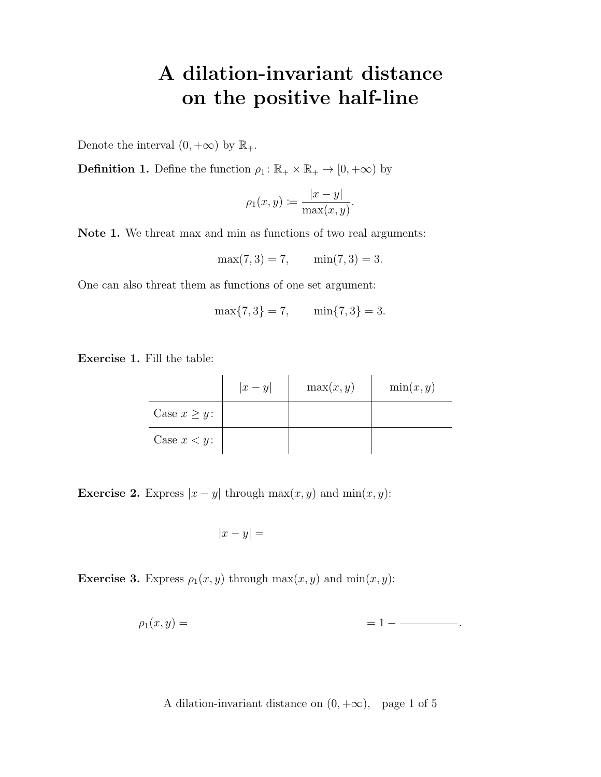## A dilation-invariant distance on the positive half-line

Denote the interval  $(0, +\infty)$  by  $\mathbb{R}_+$ .

**Definition 1.** Define the function  $\rho_1: \mathbb{R}_+ \times \mathbb{R}_+ \to [0, +\infty)$  by

$$
\rho_1(x, y) \coloneqq \frac{|x - y|}{\max(x, y)}.
$$

Note 1. We threat max and min as functions of two real arguments:

 $max(7, 3) = 7, \qquad min(7, 3) = 3.$ 

One can also threat them as functions of one set argument:

$$
\max\{7,3\} = 7, \qquad \min\{7,3\} = 3.
$$

Exercise 1. Fill the table:

|                   | $ x-y $ | max(x, y) | min(x, y) |
|-------------------|---------|-----------|-----------|
| Case $x \geq y$ : |         |           |           |
| Case $x < y$ :    |         |           |           |

**Exercise 2.** Express  $|x - y|$  through  $\max(x, y)$  and  $\min(x, y)$ :

$$
|x - y| =
$$

**Exercise 3.** Express  $\rho_1(x, y)$  through  $\max(x, y)$  and  $\min(x, y)$ :

$$
\rho_1(x,y) = 1 - \frac{1}{1 - 1}.
$$

A dilation-invariant distance on  $(0, +\infty)$ , page 1 of 5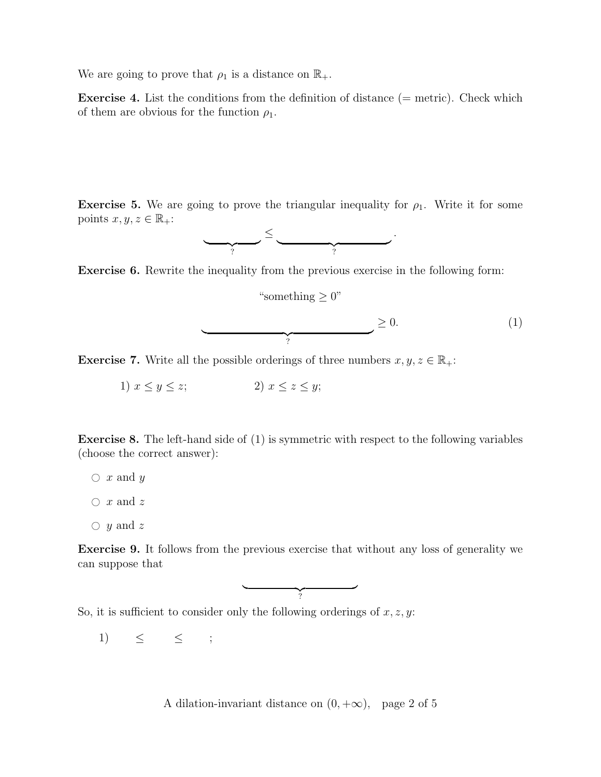We are going to prove that  $\rho_1$  is a distance on  $\mathbb{R}_+$ .

**Exercise 4.** List the conditions from the definition of distance  $(=$  metric). Check which of them are obvious for the function  $\rho_1$ .

**Exercise 5.** We are going to prove the triangular inequality for  $\rho_1$ . Write it for some points  $x, y, z \in \mathbb{R}_+$ :



Exercise 6. Rewrite the inequality from the previous exercise in the following form:

"something 
$$
\geq 0
$$
"

$$
\underbrace{\phantom{(\mathrm{Tr}(X,Y))}\geq 0.}\tag{1}
$$

**Exercise 7.** Write all the possible orderings of three numbers  $x, y, z \in \mathbb{R}_+$ :

$$
1) \; x \le y \le z; \qquad \qquad 2) \; x \le z \le y;
$$

Exercise 8. The left-hand side of (1) is symmetric with respect to the following variables (choose the correct answer):

 $\bigcirc$  x and y

 $\circ$  x and z

 $\bigcirc$  y and z

Exercise 9. It follows from the previous exercise that without any loss of generality we can suppose that



So, it is sufficient to consider only the following orderings of  $x, z, y$ :

1)  $\leq$   $\leq$  ;

A dilation-invariant distance on  $(0, +\infty)$ , page 2 of 5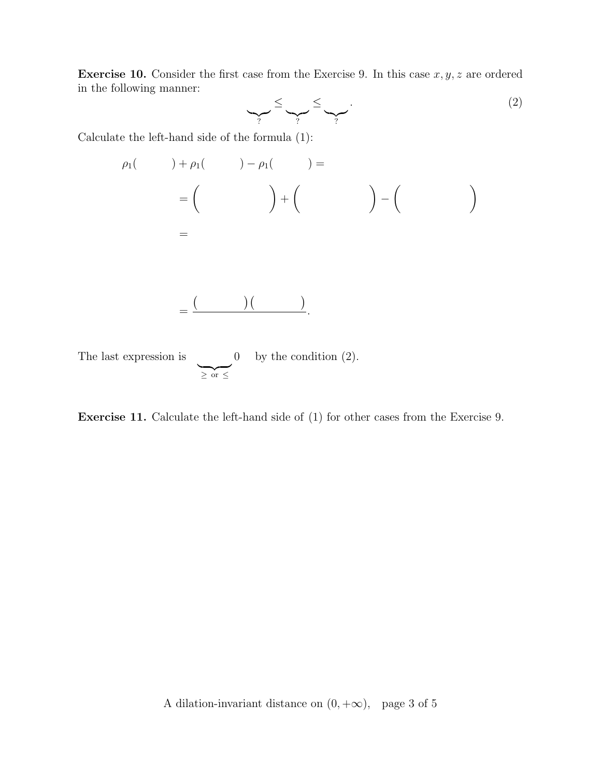**Exercise 10.** Consider the first case from the Exercise 9. In this case  $x, y, z$  are ordered in the following manner:

$$
\sum_{?} \leq \sum_{?} \leq \sum_{?}
$$
 (2)

Calculate the left-hand side of the formula (1):

$$
\rho_1(\qquad) + \rho_1(\qquad) - \rho_1(\qquad) =
$$
\n
$$
= \left(\qquad \qquad \right) + \left(\qquad \qquad \right) - \left(\qquad \qquad \right)
$$
\n
$$
= \qquad \qquad
$$
\n
$$
= \frac{(-)(\qquad)}{2}
$$

The last expression is  $\geq$  or  $\leq$ 0 by the condition (2).

Exercise 11. Calculate the left-hand side of (1) for other cases from the Exercise 9.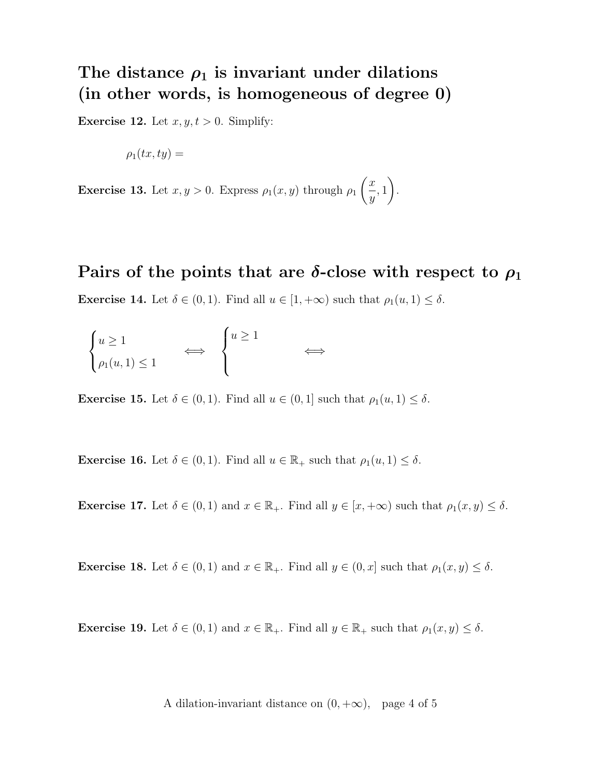## The distance  $\rho_1$  is invariant under dilations (in other words, is homogeneous of degree 0)

**Exercise 12.** Let  $x, y, t > 0$ . Simplify:

$$
\rho_1(tx,ty) =
$$

**Exercise 13.** Let  $x, y > 0$ . Express  $\rho_1(x, y)$  through  $\rho_1$  $\sqrt{x}$  $\hat{y}$ , 1  $\setminus$ .

## Pairs of the points that are  $\delta$ -close with respect to  $\rho_1$

**Exercise 14.** Let  $\delta \in (0,1)$ . Find all  $u \in [1,+\infty)$  such that  $\rho_1(u,1) \leq \delta$ .

$$
\begin{cases} u \ge 1 \\ \rho_1(u,1) \le 1 \end{cases} \Longleftrightarrow \begin{cases} u \ge 1 \\ \end{cases} \Longleftrightarrow
$$

**Exercise 15.** Let  $\delta \in (0,1)$ . Find all  $u \in (0,1]$  such that  $\rho_1(u,1) \leq \delta$ .

**Exercise 16.** Let  $\delta \in (0,1)$ . Find all  $u \in \mathbb{R}_+$  such that  $\rho_1(u,1) \leq \delta$ .

**Exercise 17.** Let  $\delta \in (0,1)$  and  $x \in \mathbb{R}_+$ . Find all  $y \in [x,+\infty)$  such that  $\rho_1(x,y) \leq \delta$ .

**Exercise 18.** Let  $\delta \in (0,1)$  and  $x \in \mathbb{R}_+$ . Find all  $y \in (0,x]$  such that  $\rho_1(x,y) \leq \delta$ .

**Exercise 19.** Let  $\delta \in (0,1)$  and  $x \in \mathbb{R}_+$ . Find all  $y \in \mathbb{R}_+$  such that  $\rho_1(x, y) \leq \delta$ .

A dilation-invariant distance on  $(0, +\infty)$ , page 4 of 5